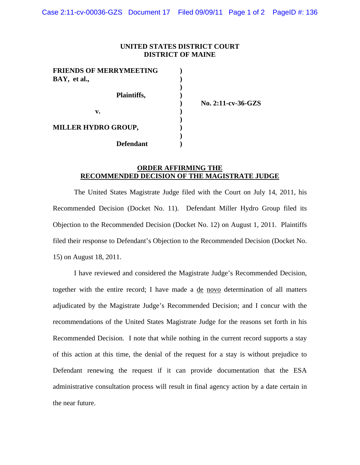## **UNITED STATES DISTRICT COURT DISTRICT OF MAINE**

| <b>FRIENDS OF MERRYMEETING</b> |  |
|--------------------------------|--|
| BAY, et al.,                   |  |
|                                |  |
| Plaintiffs,                    |  |
|                                |  |
| v.                             |  |
|                                |  |
| <b>MILLER HYDRO GROUP,</b>     |  |
|                                |  |
| <b>Defendant</b>               |  |

 **) No. 2:11-cv-36-GZS** 

## **ORDER AFFIRMING THE RECOMMENDED DECISION OF THE MAGISTRATE JUDGE**

 The United States Magistrate Judge filed with the Court on July 14, 2011, his Recommended Decision (Docket No. 11). Defendant Miller Hydro Group filed its Objection to the Recommended Decision (Docket No. 12) on August 1, 2011. Plaintiffs filed their response to Defendant's Objection to the Recommended Decision (Docket No. 15) on August 18, 2011.

 I have reviewed and considered the Magistrate Judge's Recommended Decision, together with the entire record; I have made a de novo determination of all matters adjudicated by the Magistrate Judge's Recommended Decision; and I concur with the recommendations of the United States Magistrate Judge for the reasons set forth in his Recommended Decision. I note that while nothing in the current record supports a stay of this action at this time, the denial of the request for a stay is without prejudice to Defendant renewing the request if it can provide documentation that the ESA administrative consultation process will result in final agency action by a date certain in the near future.